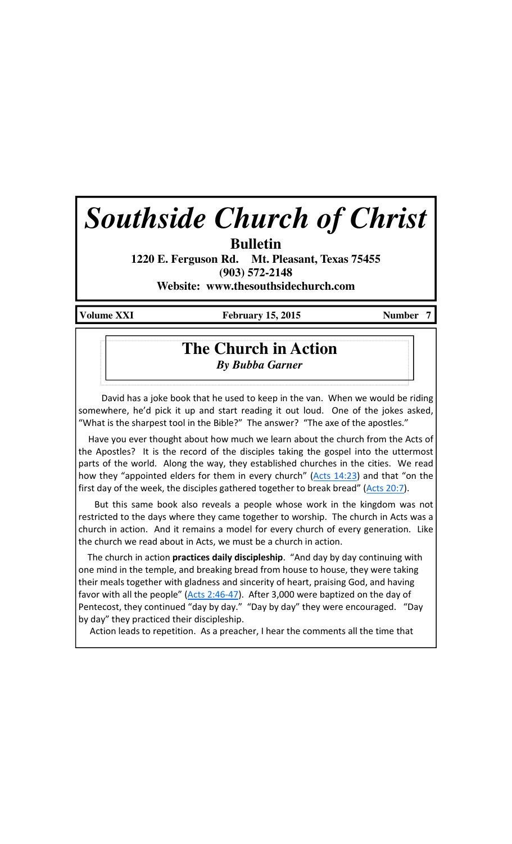# *Southside Church of Christ*

**Bulletin** 

**1220 E. Ferguson Rd. Mt. Pleasant, Texas 75455 (903) 572-2148** 

**Website: www.thesouthsidechurch.com** 

Volume XXI **February 15, 2015** Number 7

## **The Church in Action** *By Bubba Garner*

 David has a joke book that he used to keep in the van. When we would be riding somewhere, he'd pick it up and start reading it out loud. One of the jokes asked, "What is the sharpest tool in the Bible?" The answer? "The axe of the apostles."

 Have you ever thought about how much we learn about the church from the Acts of the Apostles? It is the record of the disciples taking the gospel into the uttermost parts of the world. Along the way, they established churches in the cities. We read how they "appointed elders for them in every church" (Acts 14:23) and that "on the first day of the week, the disciples gathered together to break bread" ( $Acts 20:7$ ).

 But this same book also reveals a people whose work in the kingdom was not restricted to the days where they came together to worship. The church in Acts was a church in action. And it remains a model for every church of every generation. Like the church we read about in Acts, we must be a church in action.

The church in action **practices daily discipleship**. "And day by day continuing with one mind in the temple, and breaking bread from house to house, they were taking their meals together with gladness and sincerity of heart, praising God, and having favor with all the people" (Acts 2:46-47). After 3,000 were baptized on the day of Pentecost, they continued "day by day." "Day by day" they were encouraged. "Day by day" they practiced their discipleship.

Action leads to repetition. As a preacher, I hear the comments all the time that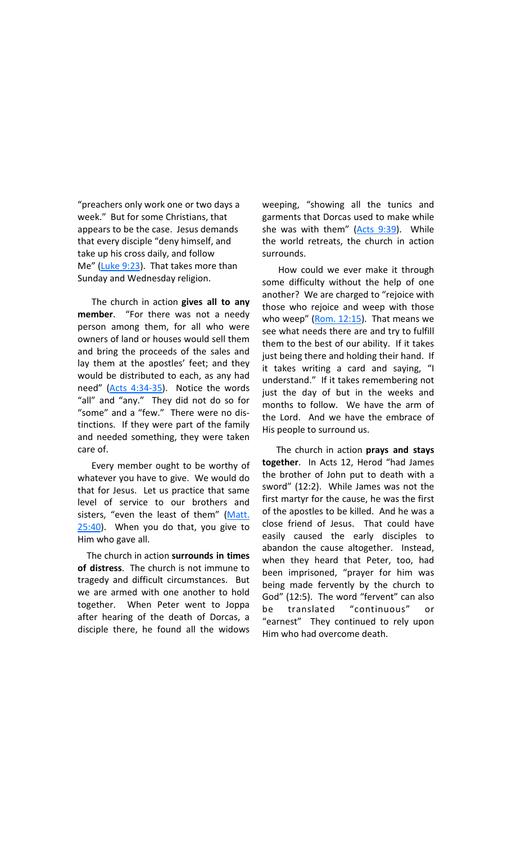"preachers only work one or two days a week." But for some Christians, that appears to be the case. Jesus demands that every disciple "deny himself, and take up his cross daily, and follow Me" (Luke 9:23). That takes more than Sunday and Wednesday religion.

The church in action gives all to any member. "For there was not a needy person among them, for all who were owners of land or houses would sell them and bring the proceeds of the sales and lay them at the apostles' feet; and they would be distributed to each, as any had need" (Acts 4:34-35). Notice the words "all" and "any." They did not do so for "some" and a "few." There were no distinctions. If they were part of the family and needed something, they were taken care of.

 Every member ought to be worthy of whatever you have to give. We would do that for Jesus. Let us practice that same level of service to our brothers and sisters, "even the least of them" (Matt. 25:40). When you do that, you give to Him who gave all.

The church in action surrounds in times of distress. The church is not immune to tragedy and difficult circumstances. But we are armed with one another to hold together. When Peter went to Joppa after hearing of the death of Dorcas, a disciple there, he found all the widows weeping, "showing all the tunics and garments that Dorcas used to make while she was with them" (Acts 9:39). While the world retreats, the church in action surrounds.

 How could we ever make it through some difficulty without the help of one another? We are charged to "rejoice with those who rejoice and weep with those who weep"  $(Rom. 12:15)$ . That means we see what needs there are and try to fulfill them to the best of our ability. If it takes just being there and holding their hand. If it takes writing a card and saying, "I understand." If it takes remembering not just the day of but in the weeks and months to follow. We have the arm of the Lord. And we have the embrace of His people to surround us.

The church in action **prays and stays** together. In Acts 12, Herod "had James the brother of John put to death with a sword" (12:2). While James was not the first martyr for the cause, he was the first of the apostles to be killed. And he was a close friend of Jesus. That could have easily caused the early disciples to abandon the cause altogether. Instead, when they heard that Peter, too, had been imprisoned, "prayer for him was being made fervently by the church to God" (12:5). The word "fervent" can also be translated "continuous" or "earnest" They continued to rely upon Him who had overcome death.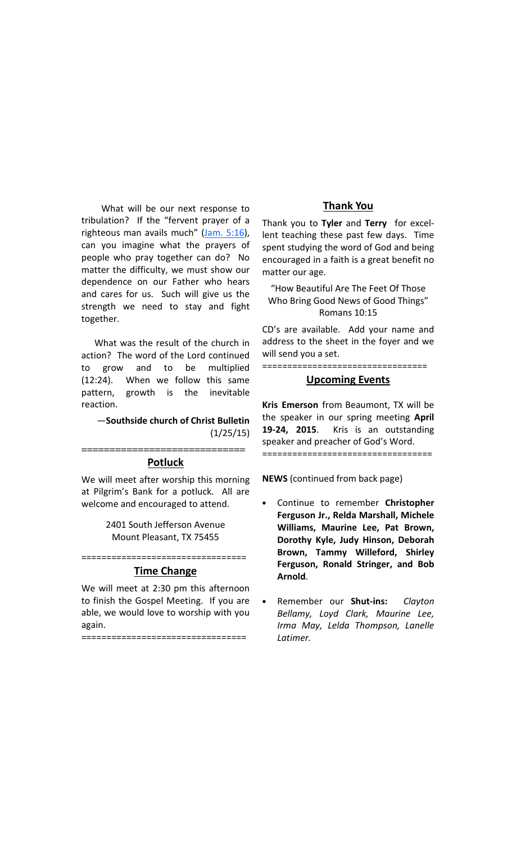What will be our next response to tribulation? If the "fervent prayer of a righteous man avails much" (Jam. 5:16), can you imagine what the prayers of people who pray together can do? No matter the difficulty, we must show our dependence on our Father who hears and cares for us. Such will give us the strength we need to stay and fight together.

 What was the result of the church in action? The word of the Lord continued to grow and to be multiplied (12:24). When we follow this same pattern, growth is the inevitable reaction.

#### —Southside church of Christ Bulletin (1/25/15)

#### ============================= Potluck

We will meet after worship this morning at Pilgrim's Bank for a potluck. All are welcome and encouraged to attend.

> 2401 South Jefferson Avenue Mount Pleasant, TX 75455

#### ================================= Time Change

We will meet at 2:30 pm this afternoon to finish the Gospel Meeting. If you are able, we would love to worship with you again.

=================================

### Thank You

Thank you to Tyler and Terry for excellent teaching these past few days. Time spent studying the word of God and being encouraged in a faith is a great benefit no matter our age.

"How Beautiful Are The Feet Of Those Who Bring Good News of Good Things" Romans 10:15

CD's are available. Add your name and address to the sheet in the foyer and we will send you a set.

=================================

#### Upcoming Events

Kris Emerson from Beaumont, TX will be the speaker in our spring meeting April 19-24, 2015. Kris is an outstanding speaker and preacher of God's Word. ==================================

NEWS (continued from back page)

- Continue to remember Christopher Ferguson Jr., Relda Marshall, Michele Williams, Maurine Lee, Pat Brown, Dorothy Kyle, Judy Hinson, Deborah Brown, Tammy Willeford, Shirley Ferguson, Ronald Stringer, and Bob Arnold.
- Remember our **Shut-ins:** Clayton Bellamy, Loyd Clark, Maurine Lee, Irma May, Lelda Thompson, Lanelle Latimer.